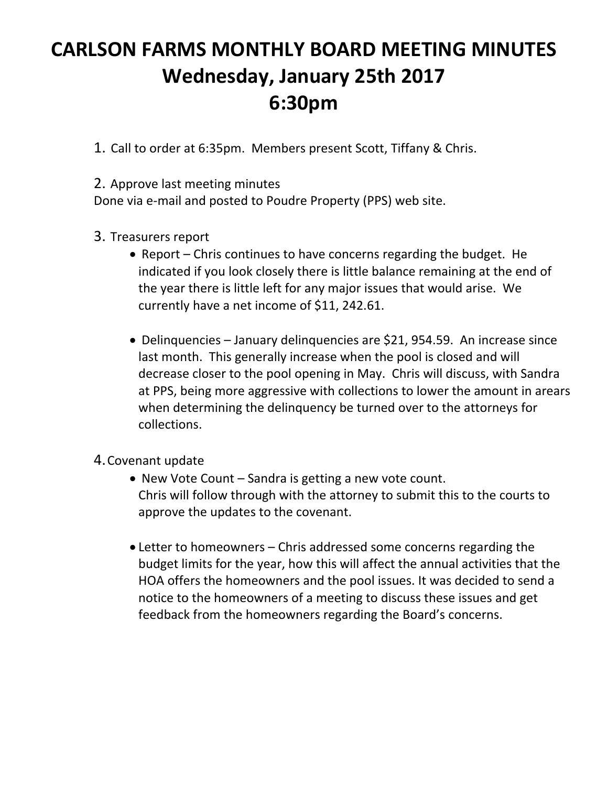## **CARLSON FARMS MONTHLY BOARD MEETING MINUTES Wednesday, January 25th 2017 6:30pm**

1. Call to order at 6:35pm. Members present Scott, Tiffany & Chris.

2. Approve last meeting minutes

Done via e‐mail and posted to Poudre Property (PPS) web site.

- 3. Treasurers report
	- Report Chris continues to have concerns regarding the budget. He indicated if you look closely there is little balance remaining at the end of the year there is little left for any major issues that would arise. We currently have a net income of \$11, 242.61.
	- Delinquencies January delinquencies are \$21, 954.59. An increase since last month. This generally increase when the pool is closed and will decrease closer to the pool opening in May. Chris will discuss, with Sandra at PPS, being more aggressive with collections to lower the amount in arears when determining the delinquency be turned over to the attorneys for collections.
- 4.Covenant update
	- New Vote Count Sandra is getting a new vote count. Chris will follow through with the attorney to submit this to the courts to approve the updates to the covenant.
	- Letter to homeowners Chris addressed some concerns regarding the budget limits for the year, how this will affect the annual activities that the HOA offers the homeowners and the pool issues. It was decided to send a notice to the homeowners of a meeting to discuss these issues and get feedback from the homeowners regarding the Board's concerns.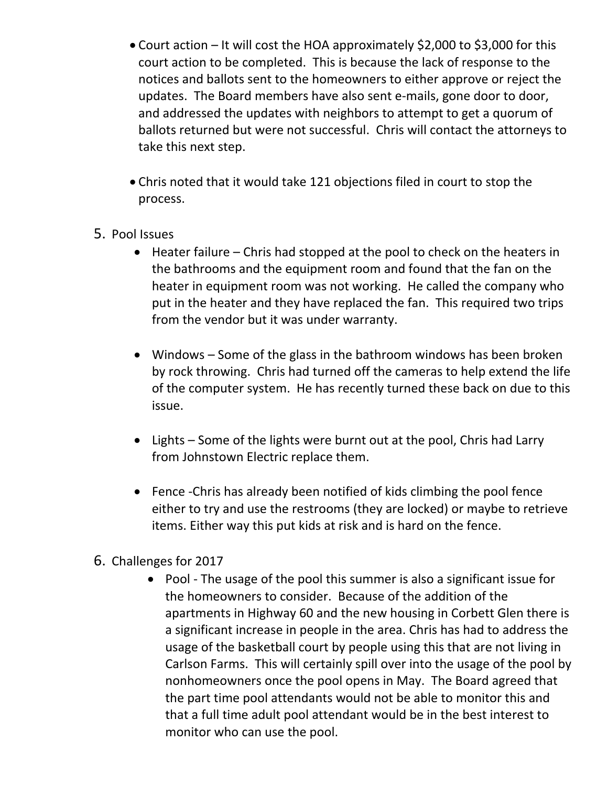- Court action It will cost the HOA approximately \$2,000 to \$3,000 for this court action to be completed. This is because the lack of response to the notices and ballots sent to the homeowners to either approve or reject the updates. The Board members have also sent e-mails, gone door to door, and addressed the updates with neighbors to attempt to get a quorum of ballots returned but were not successful. Chris will contact the attorneys to take this next step.
- Chris noted that it would take 121 objections filed in court to stop the process.
- 5. Pool Issues
	- $\bullet$  Heater failure Chris had stopped at the pool to check on the heaters in the bathrooms and the equipment room and found that the fan on the heater in equipment room was not working. He called the company who put in the heater and they have replaced the fan. This required two trips from the vendor but it was under warranty.
	- Windows Some of the glass in the bathroom windows has been broken by rock throwing. Chris had turned off the cameras to help extend the life of the computer system. He has recently turned these back on due to this issue.
	- Lights Some of the lights were burnt out at the pool, Chris had Larry from Johnstown Electric replace them.
	- Fence Chris has already been notified of kids climbing the pool fence either to try and use the restrooms (they are locked) or maybe to retrieve items. Either way this put kids at risk and is hard on the fence.
- 6. Challenges for 2017
	- Pool The usage of the pool this summer is also a significant issue for the homeowners to consider. Because of the addition of the apartments in Highway 60 and the new housing in Corbett Glen there is a significant increase in people in the area. Chris has had to address the usage of the basketball court by people using this that are not living in Carlson Farms. This will certainly spill over into the usage of the pool by nonhomeowners once the pool opens in May. The Board agreed that the part time pool attendants would not be able to monitor this and that a full time adult pool attendant would be in the best interest to monitor who can use the pool.